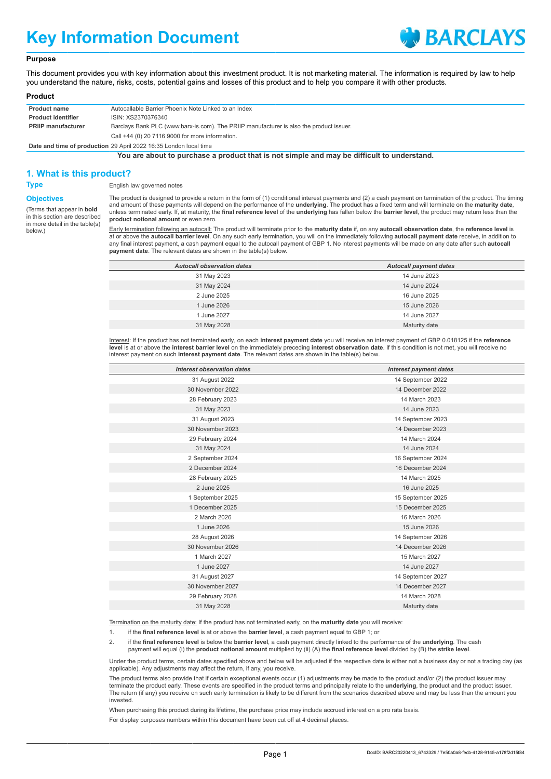# **Key Information Document**



### **Purpose**

This document provides you with key information about this investment product. It is not marketing material. The information is required by law to help you understand the nature, risks, costs, potential gains and losses of this product and to help you compare it with other products.

#### **Product**

| <b>Product name</b>       | Autocallable Barrier Phoenix Note Linked to an Index                                    |
|---------------------------|-----------------------------------------------------------------------------------------|
| <b>Product identifier</b> | ISIN: XS2370376340                                                                      |
| <b>PRIIP manufacturer</b> | Barclays Bank PLC (www.barx-is.com). The PRIIP manufacturer is also the product issuer. |
|                           | Call +44 (0) 20 7116 9000 for more information.                                         |

**Date and time of production** 29 April 2022 16:35 London local time

**You are about to purchase a product that is not simple and may be difficult to understand.**

## **1. What is this product?**

**Type** English law governed notes

**Objectives** (Terms that appear in **bold** in this section are described in more detail in the table(s) below.)

The product is designed to provide a return in the form of (1) conditional interest payments and (2) a cash payment on termination of the product. The timing and amount of these payments will depend on the performance of the **underlying**. The product has a fixed term and will terminate on the **maturity date**, unless terminated early. If, at maturity, the **final reference level** of the **underlying** has fallen below the **barrier level**, the product may return less than the **product notional amount** or even zero.

Early termination following an autocall: The product will terminate prior to the **maturity date** if, on any **autocall observation date**, the **reference level** is at or above the **autocall barrier level**. On any such early termination, you will on the immediately following **autocall payment date** receive, in addition to any final interest payment, a cash payment equal to the autocall payment of GBP 1. No interest payments will be made on any date after such **autocall payment date**. The relevant dates are shown in the table(s) below.

| <b>Autocall observation dates</b> | <b>Autocall payment dates</b> |
|-----------------------------------|-------------------------------|
| 31 May 2023                       | 14 June 2023                  |
| 31 May 2024                       | 14 June 2024                  |
| 2 June 2025                       | 16 June 2025                  |
| 1 June 2026                       | 15 June 2026                  |
| 1 June 2027                       | 14 June 2027                  |
| 31 May 2028                       | Maturity date                 |

Interest: If the product has not terminated early, on each **interest payment date** you will receive an interest payment of GBP 0.018125 if the **reference level** is at or above the **interest barrier level** on the immediately preceding **interest observation date**. If this condition is not met, you will receive no interest payment on such **interest payment date**. The relevant dates are shown in the table(s) below.

| Interest observation dates | <b>Interest payment dates</b> |
|----------------------------|-------------------------------|
| 31 August 2022             | 14 September 2022             |
| 30 November 2022           | 14 December 2022              |
| 28 February 2023           | 14 March 2023                 |
| 31 May 2023                | 14 June 2023                  |
| 31 August 2023             | 14 September 2023             |
| 30 November 2023           | 14 December 2023              |
| 29 February 2024           | 14 March 2024                 |
| 31 May 2024                | 14 June 2024                  |
| 2 September 2024           | 16 September 2024             |
| 2 December 2024            | 16 December 2024              |
| 28 February 2025           | 14 March 2025                 |
| 2 June 2025                | 16 June 2025                  |
| 1 September 2025           | 15 September 2025             |
| 1 December 2025            | 15 December 2025              |
| 2 March 2026               | 16 March 2026                 |
| 1 June 2026                | 15 June 2026                  |
| 28 August 2026             | 14 September 2026             |
| 30 November 2026           | 14 December 2026              |
| 1 March 2027               | 15 March 2027                 |
| 1 June 2027                | 14 June 2027                  |
| 31 August 2027             | 14 September 2027             |
| 30 November 2027           | 14 December 2027              |
| 29 February 2028           | 14 March 2028                 |
| 31 May 2028                | Maturity date                 |
|                            |                               |

Termination on the maturity date: If the product has not terminated early, on the **maturity date** you will receive:

1. if the **final reference level** is at or above the **barrier level**, a cash payment equal to GBP 1; or

2. if the **final reference level** is below the **barrier level**, a cash payment directly linked to the performance of the **underlying**. The cash payment will equal (i) the **product notional amount** multiplied by (ii) (A) the **final reference level** divided by (B) the **strike level**.

Under the product terms, certain dates specified above and below will be adjusted if the respective date is either not a business day or not a trading day (as applicable). Any adjustments may affect the return, if any, you receive.

The product terms also provide that if certain exceptional events occur (1) adjustments may be made to the product and/or (2) the product issuer may terminate the product early. These events are specified in the product terms and principally relate to the **underlying**, the product and the product issuer. The return (if any) you receive on such early termination is likely to be different from the scenarios described above and may be less than the amount you invested.

When purchasing this product during its lifetime, the purchase price may include accrued interest on a pro rata basis.

For display purposes numbers within this document have been cut off at 4 decimal places.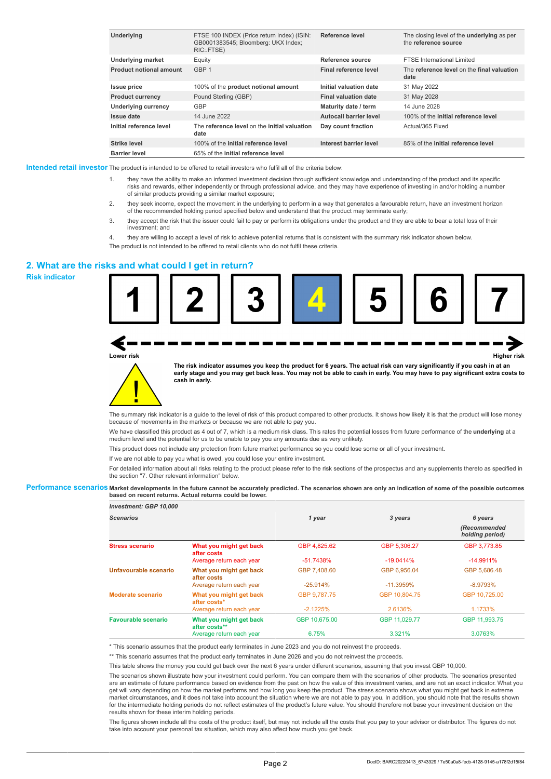| Underlying                     | FTSE 100 INDEX (Price return index) (ISIN:<br>GB0001383545; Bloomberg: UKX Index;<br>RIC: FTSE) | Reference level             | The closing level of the <b>underlying</b> as per<br>the reference source |
|--------------------------------|-------------------------------------------------------------------------------------------------|-----------------------------|---------------------------------------------------------------------------|
| <b>Underlying market</b>       | Equity                                                                                          | Reference source            | <b>FTSE International Limited</b>                                         |
| <b>Product notional amount</b> | GBP 1                                                                                           | Final reference level       | The reference level on the final valuation<br>date                        |
| <b>Issue price</b>             | 100% of the product notional amount                                                             | Initial valuation date      | 31 May 2022                                                               |
| <b>Product currency</b>        | Pound Sterling (GBP)                                                                            | <b>Final valuation date</b> | 31 May 2028                                                               |
| <b>Underlying currency</b>     | <b>GBP</b>                                                                                      | Maturity date / term        | 14 June 2028                                                              |
| Issue date                     | 14 June 2022                                                                                    | Autocall barrier level      | 100% of the initial reference level                                       |
| Initial reference level        | The reference level on the initial valuation<br>date                                            | Day count fraction          | Actual/365 Fixed                                                          |
| <b>Strike level</b>            | 100% of the initial reference level                                                             | Interest barrier level      | 85% of the initial reference level                                        |
| <b>Barrier level</b>           | 65% of the initial reference level                                                              |                             |                                                                           |

**Intended retail investor** The product is intended to be offered to retail investors who fulfil all of the criteria below:

- 1. they have the ability to make an informed investment decision through sufficient knowledge and understanding of the product and its specific risks and rewards, either independently or through professional advice, and they may have experience of investing in and/or holding a number of similar products providing a similar market exposure;
- 2. they seek income, expect the movement in the underlying to perform in a way that generates a favourable return, have an investment horizon<br>of the recommended holding period specified below and understand that the produc
- 3. they accept the risk that the issuer could fail to pay or perform its obligations under the product and they are able to bear a total loss of their investment; and
- 4. they are willing to accept a level of risk to achieve potential returns that is consistent with the summary risk indicator shown below. The product is not intended to be offered to retail clients who do not fulfil these criteria.

#### **2. What are the risks and what could I get in return?**

**Risk indicator**



**Lower risk Higher risk**





**The risk indicator assumes you keep the product for 6 years. The actual risk can vary significantly if you cash in at an early stage and you may get back less. You may not be able to cash in early. You may have to pay significant extra costs to cash in early.**

The summary risk indicator is a guide to the level of risk of this product compared to other products. It shows how likely it is that the product will lose money because of movements in the markets or because we are not able to pay you.

We have classified this product as 4 out of 7, which is a medium risk class. This rates the potential losses from future performance of the **underlying** at a medium level and the potential for us to be unable to pay you any amounts due as very unlikely.

This product does not include any protection from future market performance so you could lose some or all of your investment.

If we are not able to pay you what is owed, you could lose your entire investment.

For detailed information about all risks relating to the product please refer to the risk sections of the prospectus and any supplements thereto as specified in the section "7. Other relevant information" below.

#### **Performance scenarios Market developments in the future cannot be accurately predicted. The scenarios shown are only an indication of some of the possible outcomes based on recent returns. Actual returns could be lower.**

| Investment: GBP 10,000     |                                          |               |               |                                 |
|----------------------------|------------------------------------------|---------------|---------------|---------------------------------|
| <b>Scenarios</b>           |                                          | 1 year        | 3 years       | 6 years                         |
|                            |                                          |               |               | (Recommended<br>holding period) |
| <b>Stress scenario</b>     | What you might get back<br>after costs   | GBP 4.825.62  | GBP 5.306.27  | GBP 3.773.85                    |
|                            | Average return each year                 | $-51.7438%$   | $-19.0414%$   | $-14.9911%$                     |
| Unfavourable scenario      | What you might get back<br>after costs   | GBP 7.408.60  | GBP 6.956.04  | GBP 5.686.48                    |
|                            | Average return each year                 | $-25.914%$    | $-11.3959%$   | $-8.9793%$                      |
| Moderate scenario          | What you might get back<br>after costs*  | GBP 9.787.75  | GBP 10.804.75 | GBP 10.725.00                   |
|                            | Average return each year                 | $-2.1225%$    | 2.6136%       | 1.1733%                         |
| <b>Favourable scenario</b> | What you might get back<br>after costs** | GBP 10.675.00 | GBP 11.029.77 | GBP 11,993.75                   |
|                            | Average return each year                 | 6.75%         | 3.321%        | 3.0763%                         |

\* This scenario assumes that the product early terminates in June 2023 and you do not reinvest the proceeds.

\*\* This scenario assumes that the product early terminates in June 2026 and you do not reinvest the proceeds.

This table shows the money you could get back over the next 6 years under different scenarios, assuming that you invest GBP 10,000.

The scenarios shown illustrate how your investment could perform. You can compare them with the scenarios of other products. The scenarios presented are an estimate of future performance based on evidence from the past on how the value of this investment varies, and are not an exact indicator. What you get will vary depending on how the market performs and how long you keep the product. The stress scenario shows what you might get back in extreme market circumstances, and it does not take into account the situation where we are not able to pay you. In addition, you should note that the results shown for the intermediate holding periods do not reflect estimates of the product's future value. You should therefore not base your investment decision on the results shown for these interim holding periods.

The figures shown include all the costs of the product itself, but may not include all the costs that you pay to your advisor or distributor. The figures do not take into account your personal tax situation, which may also affect how much you get back.